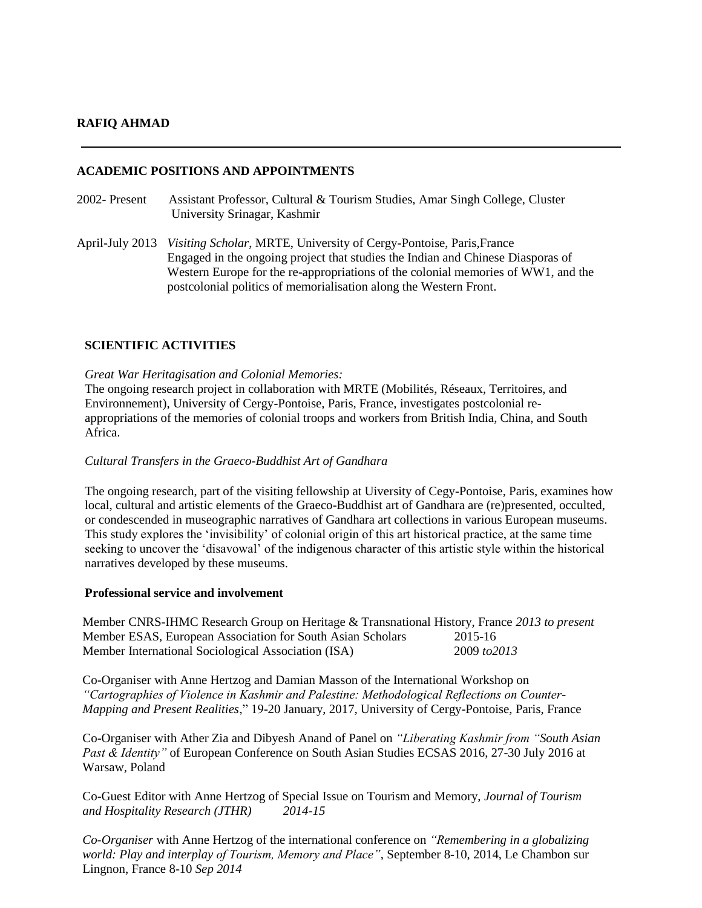# **RAFIQ AHMAD**

# **ACADEMIC POSITIONS AND APPOINTMENTS**

- 2002- Present Assistant Professor, Cultural & Tourism Studies, Amar Singh College, Cluster University Srinagar, Kashmir
- April-July 2013 *Visiting Scholar*, MRTE, University of Cergy-Pontoise, Paris,France Engaged in the ongoing project that studies the Indian and Chinese Diasporas of Western Europe for the re-appropriations of the colonial memories of WW1, and the postcolonial politics of memorialisation along the Western Front.

# **SCIENTIFIC ACTIVITIES**

### *Great War Heritagisation and Colonial Memories:*

The ongoing research project in collaboration with MRTE (Mobilités, Réseaux, Territoires, and Environnement), University of Cergy-Pontoise, Paris, France, investigates postcolonial reappropriations of the memories of colonial troops and workers from British India, China, and South Africa.

# *Cultural Transfers in the Graeco-Buddhist Art of Gandhara*

The ongoing research, part of the visiting fellowship at Uiversity of Cegy-Pontoise, Paris, examines how local, cultural and artistic elements of the Graeco-Buddhist art of Gandhara are (re)presented, occulted, or condescended in museographic narratives of Gandhara art collections in various European museums. This study explores the 'invisibility' of colonial origin of this art historical practice, at the same time seeking to uncover the 'disavowal' of the indigenous character of this artistic style within the historical narratives developed by these museums.

### **Professional service and involvement**

Member CNRS-IHMC Research Group on Heritage & Transnational History, France *2013 to present* Member ESAS, European Association for South Asian Scholars 2015-16 Member International Sociological Association (ISA) 2009 *to2013*

Co-Organiser with Anne Hertzog and Damian Masson of the International Workshop on *"Cartographies of Violence in Kashmir and Palestine: Methodological Reflections on Counter-Mapping and Present Realities*," 19-20 January, 2017, University of Cergy-Pontoise, Paris, France

Co-Organiser with Ather Zia and Dibyesh Anand of Panel on *"Liberating Kashmir from "South Asian Past & Identity"* of European Conference on South Asian Studies ECSAS 2016, 27-30 July 2016 at Warsaw, Poland

Co-Guest Editor with Anne Hertzog of Special Issue on Tourism and Memory, *Journal of Tourism and Hospitality Research (JTHR) 2014-15*

*Co-Organiser* with Anne Hertzog of the international conference on *"Remembering in a globalizing world: Play and interplay of Tourism, Memory and Place"*, September 8-10, 2014, Le Chambon sur Lingnon, France 8-10 *Sep 2014*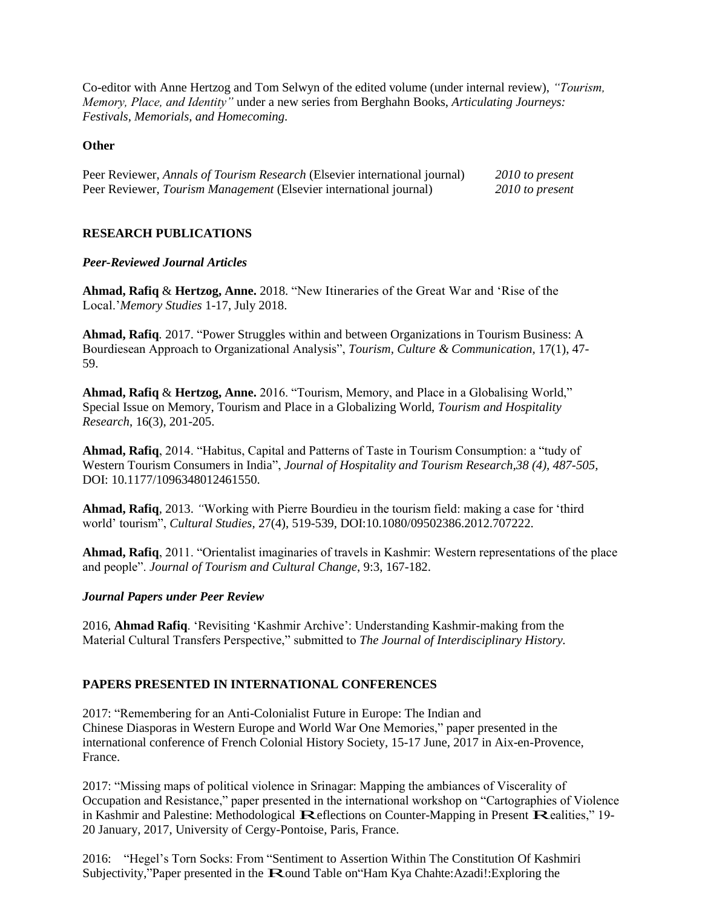Co-editor with Anne Hertzog and Tom Selwyn of the edited volume (under internal review), *"Tourism, Memory, Place, and Identity"* under a new series from Berghahn Books, *Articulating Journeys: Festivals, Memorials, and Homecoming.*

## **Other**

| Peer Reviewer, Annals of Tourism Research (Elsevier international journal) | 2010 to present |
|----------------------------------------------------------------------------|-----------------|
| Peer Reviewer, Tourism Management (Elsevier international journal)         | 2010 to present |

# **RESEARCH PUBLICATIONS**

#### *Peer-Reviewed Journal Articles*

**Ahmad, Rafiq** & **Hertzog, Anne.** 2018. "New Itineraries of the Great War and 'Rise of the Local.'*Memory Studies* 1-17, July 2018.

**Ahmad, Rafiq***.* 2017. "Power Struggles within and between Organizations in Tourism Business: A Bourdiesean Approach to Organizational Analysis", *Tourism, Culture & Communication,* 17(1), 47- 59.

**Ahmad, Rafiq** & **Hertzog, Anne.** 2016. "Tourism, Memory, and Place in a Globalising World," Special Issue on Memory, Tourism and Place in a Globalizing World, *Tourism and Hospitality Research*, 16(3), 201-205.

**Ahmad, Rafiq**, 2014. "Habitus, Capital and Patterns of Taste in Tourism Consumption: a "tudy of Western Tourism Consumers in India", *Journal of Hospitality and Tourism Research,38 (4), 487-505,*  DOI: 10.1177/1096348012461550.

**Ahmad, Rafiq***,* 2013. *"*Working with Pierre Bourdieu in the tourism field: making a case for 'third world' tourism", *Cultural Studies,* 27(4), 519-539, DOI:10.1080/09502386.2012.707222.

**Ahmad, Rafiq**, 2011. "Orientalist imaginaries of travels in Kashmir: Western representations of the place and people". *Journal of Tourism and Cultural Change*, 9:3, 167-182.

#### *Journal Papers under Peer Review*

2016, **Ahmad Rafiq**. 'Revisiting 'Kashmir Archive': Understanding Kashmir-making from the Material Cultural Transfers Perspective," submitted to *The Journal of Interdisciplinary History.*

# **PAPERS PRESENTED IN INTERNATIONAL CONFERENCES**

2017: "Remembering for an Anti-Colonialist Future in Europe: The Indian and Chinese Diasporas in Western Europe and World War One Memories," paper presented in the international conference of French Colonial History Society, 15-17 June, 2017 in Aix-en-Provence, France.

2017: "Missing maps of political violence in Srinagar: Mapping the ambiances of Viscerality of Occupation and Resistance," paper presented in the international workshop on "Cartographies of Violence in Kashmir and Palestine: Methodological Reflections on Counter-Mapping in Present Realities," 19- 20 January, 2017, University of Cergy-Pontoise, Paris, France.

2016: "Hegel's Torn Socks: From "Sentiment to Assertion Within The Constitution Of Kashmiri Subjectivity,"Paper presented in the Round Table on "Ham Kya Chahte:Azadi!:Exploring the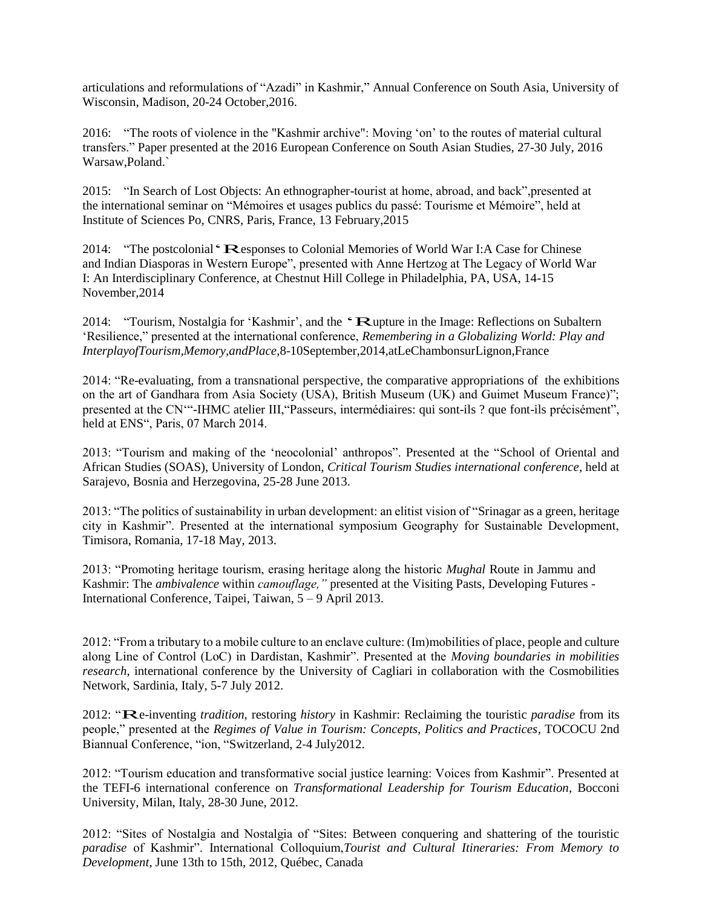articulations and reformulations of "Azadi" in Kashmir," Annual Conference on South Asia, University of Wisconsin, Madison, 20-24 October,2016.

2016: "The roots of violence in the "Kashmir archive": Moving 'on' to the routes of material cultural transfers." Paper presented at the 2016 European Conference on South Asian Studies, 27-30 July, 2016 Warsaw,Poland.`

2015: "In Search of Lost Objects: An ethnographer-tourist at home, abroad, and back",presented at the international seminar on "Mémoires et usages publics du passé: Tourisme et Mémoire", held at Institute of Sciences Po, CNRS, Paris, France, 13 February,2015

2014: "The postcolonial "Responses to Colonial Memories of World War I:A Case for Chinese and Indian Diasporas in Western Europe", presented with Anne Hertzog at The Legacy of World War I: An Interdisciplinary Conference, at Chestnut Hill College in Philadelphia, PA, USA, 14-15 November,2014

2014: "Tourism, Nostalgia for 'Kashmir', and the "Rupture in the Image: Reflections on Subaltern 'Resilience," presented at the international conference, *Remembering in a Globalizing World: Play and InterplayofTourism,Memory,andPlace*,8-10September,2014,atLeChambonsurLignon,France

2014: "Re-evaluating, from a transnational perspective, the comparative appropriations of the exhibitions on the art of Gandhara from Asia Society (USA), British Museum (UK) and Guimet Museum France)"; presented at the CN'"-IHMC atelier III,"Passeurs, intermédiaires: qui sont-ils ? que font-ils précisément", held at ENS", Paris, 07 March 2014.

2013: "Tourism and making of the 'neocolonial' anthropos". Presented at the "School of Oriental and African Studies (SOAS), University of London, *Critical Tourism Studies international conference*, held at Sarajevo, Bosnia and Herzegovina, 25-28 June 2013.

2013: "The politics of sustainability in urban development: an elitist vision of "Srinagar as a green, heritage city in Kashmir". Presented at the international symposium Geography for Sustainable Development, Timisora, Romania, 17-18 May, 2013.

2013: "Promoting heritage tourism, erasing heritage along the historic *Mughal* Route in Jammu and Kashmir: The *ambivalence* within *camouflage,"* presented at the Visiting Pasts, Developing Futures - International Conference, Taipei, Taiwan, 5 – 9 April 2013.

2012: "From a tributary to a mobile culture to an enclave culture: (Im)mobilities of place, people and culture along Line of Control (LoC) in Dardistan, Kashmir". Presented at the *Moving boundaries in mobilities research*, international conference by the University of Cagliari in collaboration with the Cosmobilities Network, Sardinia, Italy, 5-7 July 2012.

2012: "Re-inventing *tradition*, restoring *history* in Kashmir: Reclaiming the touristic *paradise* from its people," presented at the *Regimes of Value in Tourism: Concepts, Politics and Practices*, TOCOCU 2nd Biannual Conference, "ion, "Switzerland, 2‐4 July2012.

2012: "Tourism education and transformative social justice learning: Voices from Kashmir". Presented at the TEFI-6 international conference on *Transformational Leadership for Tourism Education*, Bocconi University, Milan, Italy, 28-30 June, 2012.

2012: "Sites of Nostalgia and Nostalgia of "Sites: Between conquering and shattering of the touristic *paradise* of Kashmir". International Colloquium,*Tourist and Cultural Itineraries: From Memory to Development*, June 13th to 15th, 2012, Québec, Canada